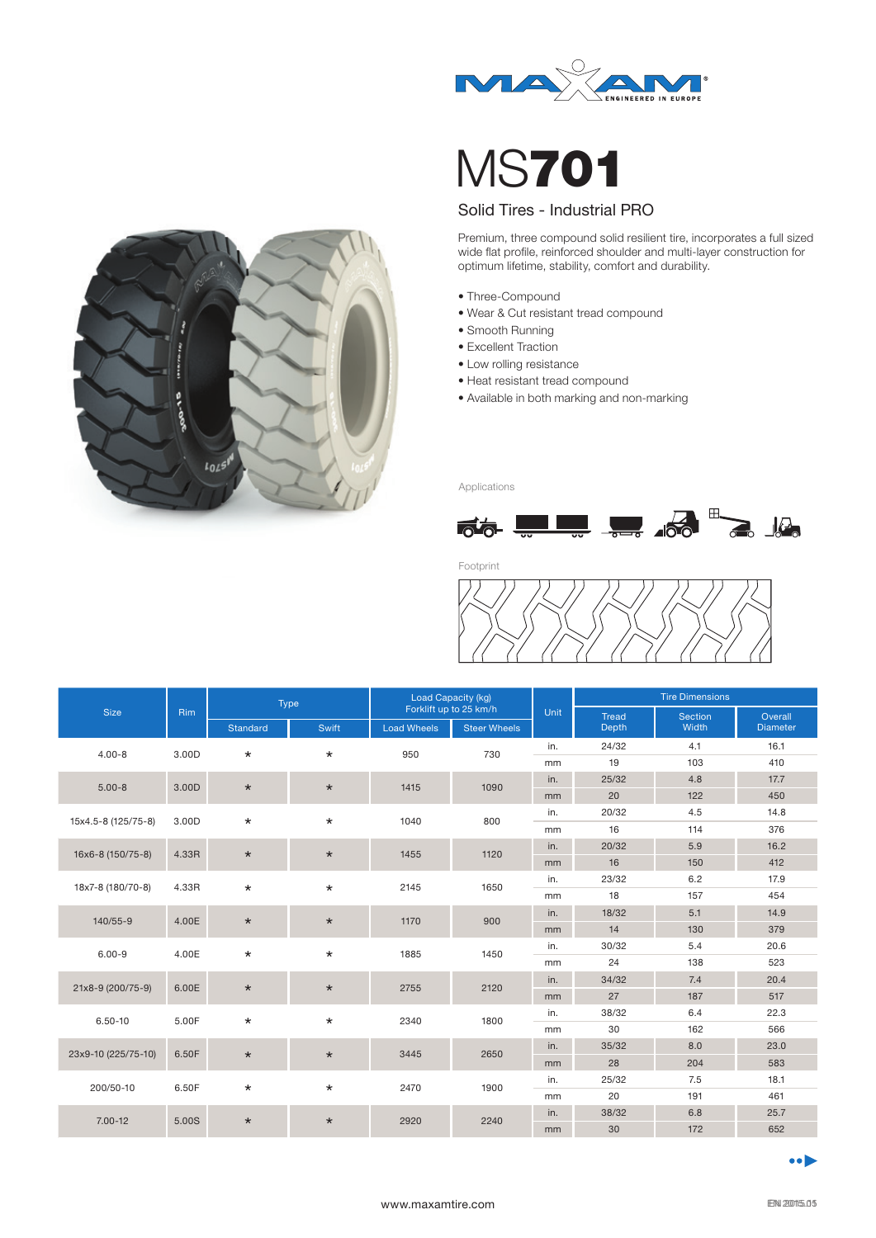

MS701

## Solid Tires - Industrial PRO

Premium, three compound solid resilient tire, incorporates a full sized wide flat profile, reinforced shoulder and multi-layer construction for optimum lifetime, stability, comfort and durability.

- Three-Compound
- Wear & Cut resistant tread compound
- Smooth Running
- Excellent Traction
- Low rolling resistance
- Heat resistant tread compound
- Available in both marking and non-marking

Applications



Footprint



| <b>Size</b>         | Rim   | Type            |         | <b>Load Capacity (kg)</b> |                     | Unit | <b>Tire Dimensions</b> |                |                 |
|---------------------|-------|-----------------|---------|---------------------------|---------------------|------|------------------------|----------------|-----------------|
|                     |       |                 |         | Forklift up to 25 km/h    |                     |      | <b>Tread</b>           | <b>Section</b> | Overall         |
|                     |       | <b>Standard</b> | Swift   | <b>Load Wheels</b>        | <b>Steer Wheels</b> |      | Depth                  | Width          | <b>Diameter</b> |
| $4.00 - 8$          | 3.00D | $\star$         | $\star$ | 950                       | 730                 | in.  | 24/32                  | 4.1            | 16.1            |
|                     |       |                 |         |                           |                     | mm   | 19                     | 103            | 410             |
| $5.00 - 8$          | 3.00D | $\star$         | $\star$ | 1415                      | 1090                | in.  | 25/32                  | 4.8            | 17.7            |
|                     |       |                 |         |                           |                     | mm   | 20                     | 122            | 450             |
| 15x4.5-8 (125/75-8) | 3.00D | $\star$         | $\star$ | 1040                      | 800                 | in.  | 20/32                  | 4.5            | 14.8            |
|                     |       |                 |         |                           |                     | mm   | 16                     | 114            | 376             |
| 16x6-8 (150/75-8)   | 4.33R | $\star$         | $\star$ | 1455                      | 1120                | in.  | 20/32                  | 5.9            | 16.2            |
|                     |       |                 |         |                           |                     | mm   | 16                     | 150            | 412             |
| 18x7-8 (180/70-8)   | 4.33R | $\star$         | $\star$ | 2145                      | 1650                | in.  | 23/32                  | 6.2            | 17.9            |
|                     |       |                 |         |                           |                     | mm   | 18                     | 157            | 454             |
| 140/55-9            | 4.00E | $\star$         | $\star$ | 1170                      | 900                 | in.  | 18/32                  | 5.1            | 14.9            |
|                     |       |                 |         |                           |                     | mm   | 14                     | 130            | 379             |
| $6.00 - 9$          | 4.00E | $\star$         | $\star$ | 1885                      | 1450                | in.  | 30/32                  | 5.4            | 20.6            |
|                     |       |                 |         |                           |                     | mm   | 24                     | 138            | 523             |
| 21x8-9 (200/75-9)   | 6.00E | $\star$         | $\star$ | 2755                      | 2120                | in.  | 34/32                  | 7.4            | 20.4            |
|                     |       |                 |         |                           |                     | mm   | 27                     | 187            | 517             |
| 6.50-10             | 5.00F | $\star$         | $\star$ | 2340                      | 1800                | in.  | 38/32                  | 6.4            | 22.3            |
|                     |       |                 |         |                           |                     | mm   | 30                     | 162            | 566             |
| 23x9-10 (225/75-10) | 6.50F | $\star$         | $\star$ | 3445                      | 2650                | in.  | 35/32                  | 8.0            | 23.0            |
|                     |       |                 |         |                           |                     | mm   | 28                     | 204            | 583             |
| 200/50-10           | 6.50F | $\star$         | $\star$ | 2470                      | 1900                | in.  | 25/32                  | 7.5            | 18.1            |
|                     |       |                 |         |                           |                     | mm   | 20                     | 191            | 461             |
| $7.00 - 12$         | 5.00S | $\star$         | $\star$ | 2920                      | 2240                | in.  | 38/32                  | 6.8            | 25.7            |
|                     |       |                 |         |                           |                     | mm   | 30                     | 172            | 652             |